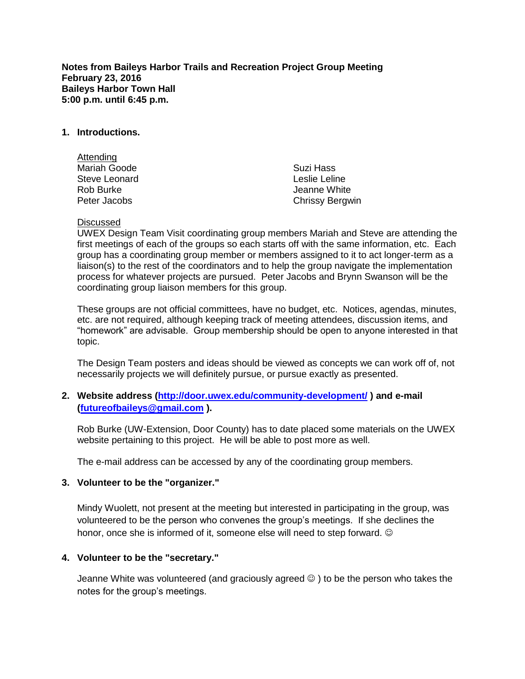**Notes from Baileys Harbor Trails and Recreation Project Group Meeting February 23, 2016 Baileys Harbor Town Hall 5:00 p.m. until 6:45 p.m.**

### **1. Introductions.**

| Attending     |                        |
|---------------|------------------------|
| Mariah Goode  | Suzi Hass              |
| Steve Leonard | Leslie Leline          |
| Rob Burke     | Jeanne White           |
| Peter Jacobs  | <b>Chrissy Bergwin</b> |

#### Discussed

UWEX Design Team Visit coordinating group members Mariah and Steve are attending the first meetings of each of the groups so each starts off with the same information, etc. Each group has a coordinating group member or members assigned to it to act longer-term as a liaison(s) to the rest of the coordinators and to help the group navigate the implementation process for whatever projects are pursued. Peter Jacobs and Brynn Swanson will be the coordinating group liaison members for this group.

These groups are not official committees, have no budget, etc. Notices, agendas, minutes, etc. are not required, although keeping track of meeting attendees, discussion items, and "homework" are advisable. Group membership should be open to anyone interested in that topic.

The Design Team posters and ideas should be viewed as concepts we can work off of, not necessarily projects we will definitely pursue, or pursue exactly as presented.

## **2. Website address [\(http://door.uwex.edu/community-development/](http://door.uwex.edu/community-development/) ) and e-mail [\(futureofbaileys@gmail.com](mailto:futureofbaileys@gmail.com) ).**

Rob Burke (UW-Extension, Door County) has to date placed some materials on the UWEX website pertaining to this project. He will be able to post more as well.

The e-mail address can be accessed by any of the coordinating group members.

#### **3. Volunteer to be the "organizer."**

Mindy Wuolett, not present at the meeting but interested in participating in the group, was volunteered to be the person who convenes the group's meetings. If she declines the honor, once she is informed of it, someone else will need to step forward.  $\odot$ 

#### **4. Volunteer to be the "secretary."**

Jeanne White was volunteered (and graciously agreed  $\circledcirc$  ) to be the person who takes the notes for the group's meetings.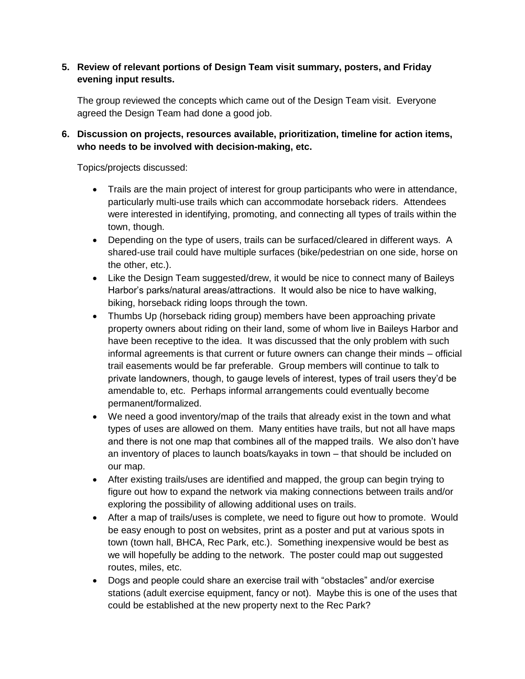# **5. Review of relevant portions of Design Team visit summary, posters, and Friday evening input results.**

The group reviewed the concepts which came out of the Design Team visit. Everyone agreed the Design Team had done a good job.

# **6. Discussion on projects, resources available, prioritization, timeline for action items, who needs to be involved with decision-making, etc.**

Topics/projects discussed:

- Trails are the main project of interest for group participants who were in attendance, particularly multi-use trails which can accommodate horseback riders. Attendees were interested in identifying, promoting, and connecting all types of trails within the town, though.
- Depending on the type of users, trails can be surfaced/cleared in different ways. A shared-use trail could have multiple surfaces (bike/pedestrian on one side, horse on the other, etc.).
- Like the Design Team suggested/drew, it would be nice to connect many of Baileys Harbor's parks/natural areas/attractions. It would also be nice to have walking, biking, horseback riding loops through the town.
- Thumbs Up (horseback riding group) members have been approaching private property owners about riding on their land, some of whom live in Baileys Harbor and have been receptive to the idea. It was discussed that the only problem with such informal agreements is that current or future owners can change their minds – official trail easements would be far preferable. Group members will continue to talk to private landowners, though, to gauge levels of interest, types of trail users they'd be amendable to, etc. Perhaps informal arrangements could eventually become permanent/formalized.
- We need a good inventory/map of the trails that already exist in the town and what types of uses are allowed on them. Many entities have trails, but not all have maps and there is not one map that combines all of the mapped trails. We also don't have an inventory of places to launch boats/kayaks in town – that should be included on our map.
- After existing trails/uses are identified and mapped, the group can begin trying to figure out how to expand the network via making connections between trails and/or exploring the possibility of allowing additional uses on trails.
- After a map of trails/uses is complete, we need to figure out how to promote. Would be easy enough to post on websites, print as a poster and put at various spots in town (town hall, BHCA, Rec Park, etc.). Something inexpensive would be best as we will hopefully be adding to the network. The poster could map out suggested routes, miles, etc.
- Dogs and people could share an exercise trail with "obstacles" and/or exercise stations (adult exercise equipment, fancy or not). Maybe this is one of the uses that could be established at the new property next to the Rec Park?